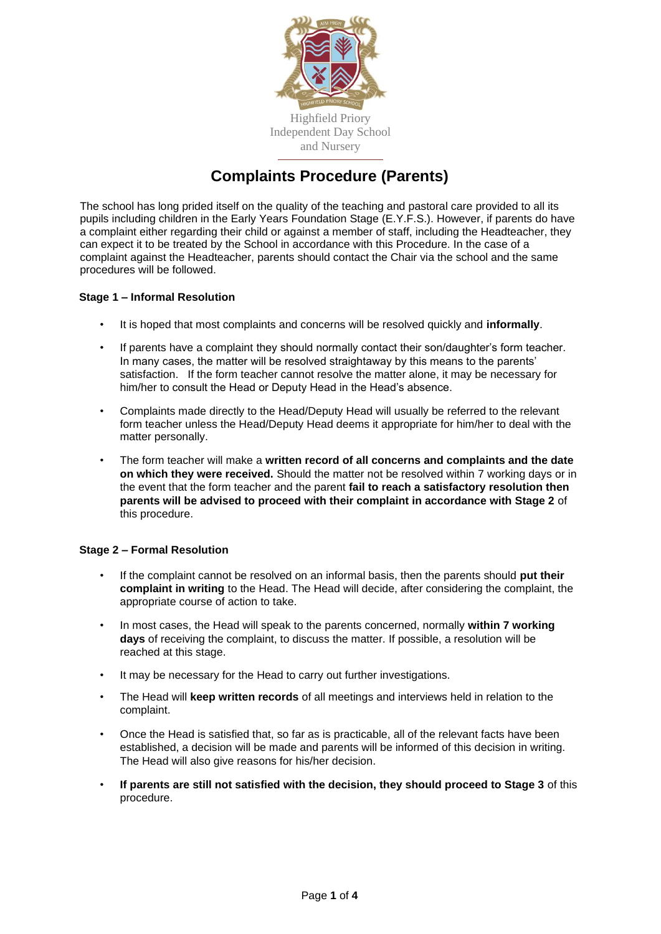

# **Complaints Procedure (Parents)**

The school has long prided itself on the quality of the teaching and pastoral care provided to all its pupils including children in the Early Years Foundation Stage (E.Y.F.S.). However, if parents do have a complaint either regarding their child or against a member of staff, including the Headteacher, they can expect it to be treated by the School in accordance with this Procedure. In the case of a complaint against the Headteacher, parents should contact the Chair via the school and the same procedures will be followed.

## **Stage 1 – Informal Resolution**

- It is hoped that most complaints and concerns will be resolved quickly and **informally**.
- If parents have a complaint they should normally contact their son/daughter's form teacher. In many cases, the matter will be resolved straightaway by this means to the parents' satisfaction. If the form teacher cannot resolve the matter alone, it may be necessary for him/her to consult the Head or Deputy Head in the Head's absence.
- Complaints made directly to the Head/Deputy Head will usually be referred to the relevant form teacher unless the Head/Deputy Head deems it appropriate for him/her to deal with the matter personally.
- The form teacher will make a **written record of all concerns and complaints and the date on which they were received.** Should the matter not be resolved within 7 working days or in the event that the form teacher and the parent **fail to reach a satisfactory resolution then parents will be advised to proceed with their complaint in accordance with Stage 2** of this procedure.

#### **Stage 2 – Formal Resolution**

- If the complaint cannot be resolved on an informal basis, then the parents should **put their complaint in writing** to the Head. The Head will decide, after considering the complaint, the appropriate course of action to take.
- In most cases, the Head will speak to the parents concerned, normally **within 7 working days** of receiving the complaint, to discuss the matter. If possible, a resolution will be reached at this stage.
- It may be necessary for the Head to carry out further investigations.
- The Head will **keep written records** of all meetings and interviews held in relation to the complaint.
- Once the Head is satisfied that, so far as is practicable, all of the relevant facts have been established, a decision will be made and parents will be informed of this decision in writing. The Head will also give reasons for his/her decision.
- **If parents are still not satisfied with the decision, they should proceed to Stage 3** of this procedure.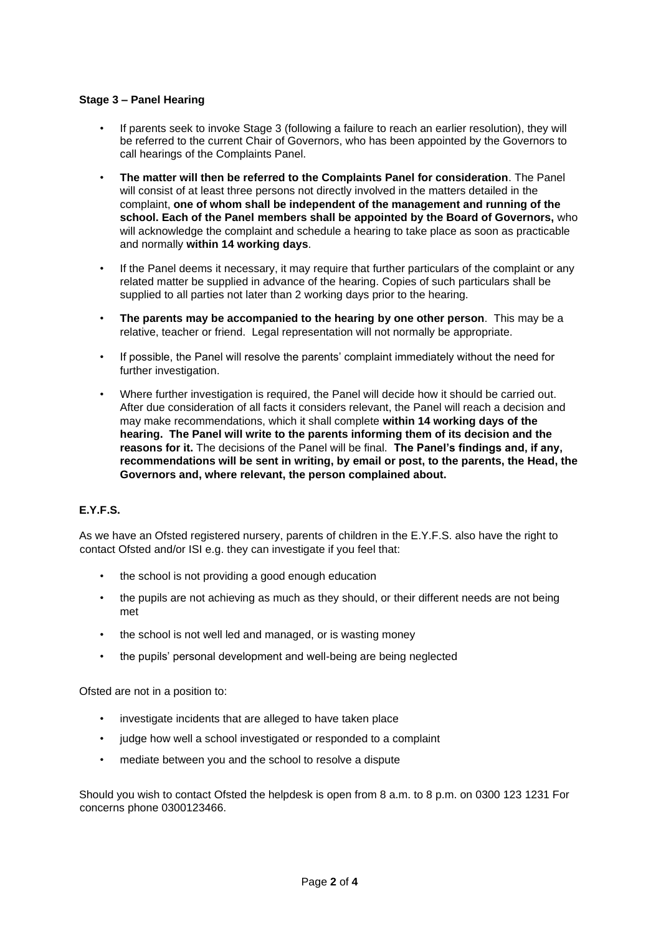## **Stage 3 – Panel Hearing**

- If parents seek to invoke Stage 3 (following a failure to reach an earlier resolution), they will be referred to the current Chair of Governors, who has been appointed by the Governors to call hearings of the Complaints Panel.
- **The matter will then be referred to the Complaints Panel for consideration**. The Panel will consist of at least three persons not directly involved in the matters detailed in the complaint, **one of whom shall be independent of the management and running of the school. Each of the Panel members shall be appointed by the Board of Governors,** who will acknowledge the complaint and schedule a hearing to take place as soon as practicable and normally **within 14 working days**.
- If the Panel deems it necessary, it may require that further particulars of the complaint or any related matter be supplied in advance of the hearing. Copies of such particulars shall be supplied to all parties not later than 2 working days prior to the hearing.
- **The parents may be accompanied to the hearing by one other person**. This may be a relative, teacher or friend. Legal representation will not normally be appropriate.
- If possible, the Panel will resolve the parents' complaint immediately without the need for further investigation.
- Where further investigation is required, the Panel will decide how it should be carried out. After due consideration of all facts it considers relevant, the Panel will reach a decision and may make recommendations, which it shall complete **within 14 working days of the hearing. The Panel will write to the parents informing them of its decision and the reasons for it.** The decisions of the Panel will be final. **The Panel's findings and, if any, recommendations will be sent in writing, by email or post, to the parents, the Head, the Governors and, where relevant, the person complained about.**

## **E.Y.F.S.**

As we have an Ofsted registered nursery, parents of children in the E.Y.F.S. also have the right to contact Ofsted and/or ISI e.g. they can investigate if you feel that:

- the school is not providing a good enough education
- the pupils are not achieving as much as they should, or their different needs are not being met
- the school is not well led and managed, or is wasting money
- the pupils' personal development and well-being are being neglected

Ofsted are not in a position to:

- investigate incidents that are alleged to have taken place
- judge how well a school investigated or responded to a complaint
- mediate between you and the school to resolve a dispute

Should you wish to contact Ofsted the helpdesk is open from 8 a.m. to 8 p.m. on 0300 123 1231 For concerns phone 0300123466.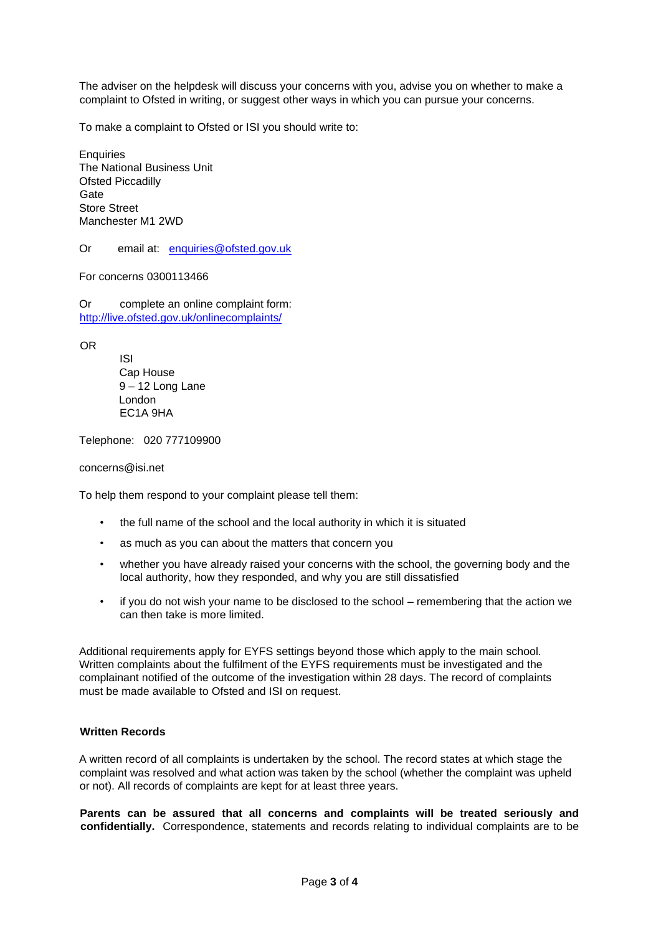The adviser on the helpdesk will discuss your concerns with you, advise you on whether to make a complaint to Ofsted in writing, or suggest other ways in which you can pursue your concerns.

To make a complaint to Ofsted or ISI you should write to:

**Enquiries** The National Business Unit Ofsted Piccadilly **Gate** Store Street Manchester M1 2WD

Or email at: enquiries@ofsted.gov.uk

For concerns 0300113466

Or complete an online complaint form: <http://live.ofsted.gov.uk/onlinecomplaints/>

OR

ISI Cap House 9 – 12 Long Lane London EC1A 9HA

Telephone: 020 777109900

concerns@isi.net

To help them respond to your complaint please tell them:

- the full name of the school and the local authority in which it is situated
- as much as you can about the matters that concern you
- whether you have already raised your concerns with the school, the governing body and the local authority, how they responded, and why you are still dissatisfied
- if you do not wish your name to be disclosed to the school remembering that the action we can then take is more limited.

Additional requirements apply for EYFS settings beyond those which apply to the main school. Written complaints about the fulfilment of the EYFS requirements must be investigated and the complainant notified of the outcome of the investigation within 28 days. The record of complaints must be made available to Ofsted and ISI on request.

#### **Written Records**

A written record of all complaints is undertaken by the school. The record states at which stage the complaint was resolved and what action was taken by the school (whether the complaint was upheld or not). All records of complaints are kept for at least three years.

**Parents can be assured that all concerns and complaints will be treated seriously and confidentially.** Correspondence, statements and records relating to individual complaints are to be